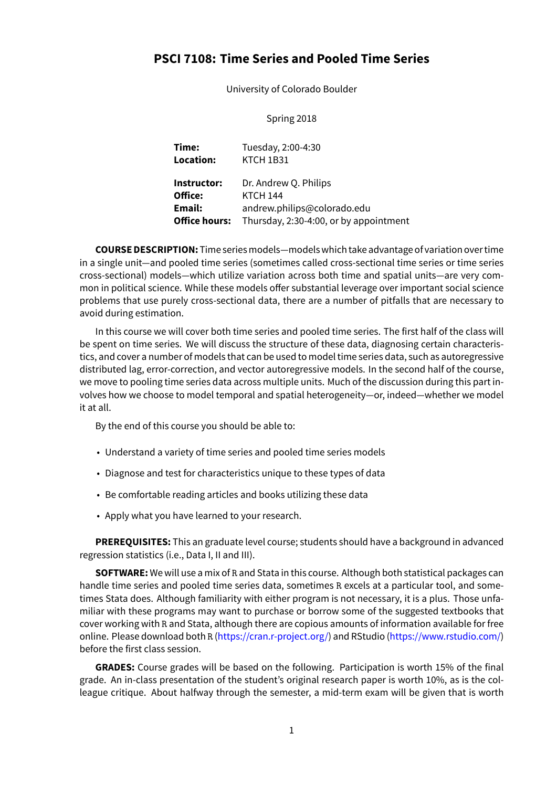# **PSCI 7108: Time Series and Pooled Time Series**

University of Colorado Boulder

## Spring 2018

| Time:<br>Location:   | Tuesday, 2:00-4:30<br>KTCH 1B31        |
|----------------------|----------------------------------------|
| Instructor:          | Dr. Andrew Q. Philips                  |
| Office:              | <b>KTCH 144</b>                        |
| Email:               | andrew.philips@colorado.edu            |
| <b>Office hours:</b> | Thursday, 2:30-4:00, or by appointment |

**COURSE DESCRIPTION:** Time seriesmodels—models which take advantage of variation over time in a single unit—and pooled time series (sometimes called cross-sectional time series or time series cross-sectional) models—which utilize variation across both time and spatial units—are very common in political science. While these models offer substantial leverage over important social science problems that use purely cross-sectional data, there are a number of pitfalls that are necessary to avoid during estimation.

In this course we will cover both time series and pooled time series. The first half of the class will be spent on time series. We will discuss the structure of these data, diagnosing certain characteristics, and cover a number of models that can be used to model time series data, such as autoregressive distributed lag, error-correction, and vector autoregressive models. In the second half of the course, we move to pooling time series data across multiple units. Much of the discussion during this part involves how we choose to model temporal and spatial heterogeneity—or, indeed—whether we model it at all.

By the end of this course you should be able to:

- Understand a variety of time series and pooled time series models
- Diagnose and test for characteristics unique to these types of data
- Be comfortable reading articles and books utilizing these data
- Apply what you have learned to your research.

**PREREQUISITES:** This an graduate level course; students should have a background in advanced regression statistics (i.e., Data I, II and III).

**SOFTWARE:** We will use a mix of R and Stata in this course. Although both statistical packages can handle time series and pooled time series data, sometimes R excels at a particular tool, and sometimes Stata does. Although familiarity with either program is not necessary, it is a plus. Those unfamiliar with these programs may want to purchase or borrow some of the suggested textbooks that cover working with R and Stata, although there are copious amounts of information available for free online. Please download both R ([https://cran.r-project.org/\)](https://cran.r-project.org/) and RStudio(<https://www.rstudio.com/>) before the first class session.

**GRADES:** Course grades will be based on the following. Participation is worth 15% of the final grade. An in-class presentation of the student's original research paper is worth 10%, as is the colleague critique. About halfway through the semester, a mid-term exam will be given that is worth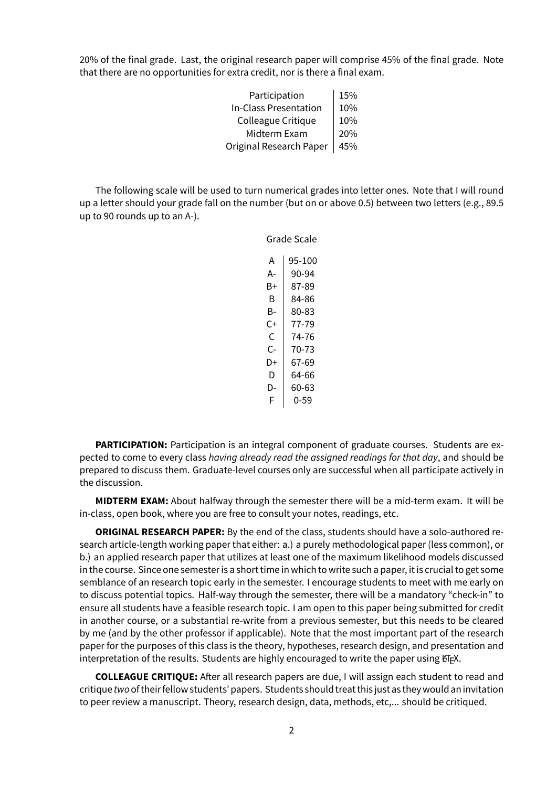20% of the final grade. Last, the original research paper will comprise 45% of the final grade. Note that there are no opportunities for extra credit, nor is there a final exam.

| Participation           | 15% |
|-------------------------|-----|
| In-Class Presentation   | 10% |
| Colleague Critique      | 10% |
| Midterm Exam            | 20% |
| Original Research Paper | 45% |

The following scale will be used to turn numerical grades into letter ones. Note that I will round up a letter should your grade fall on the number (but on or above 0.5) between two letters (e.g., 89.5 up to 90 rounds up to an A-).

Grade Scale

| А  | 95-100 |
|----|--------|
| А- | 90-94  |
| B+ | 87-89  |
| B  | 84-86  |
| B- | 80-83  |
| C+ | 77-79  |
| C  | 74-76  |
| C- | 70-73  |
| D+ | 67-69  |
| D  | 64-66  |
| D- | 60-63  |
| F  | 0-59   |

**PARTICIPATION:** Participation is an integral component of graduate courses. Students are expected to come to every class *having already read the assigned readings for that day*, and should be prepared to discuss them. Graduate-level courses only are successful when all participate actively in the discussion.

**MIDTERM EXAM:** About halfway through the semester there will be a mid-term exam. It will be in-class, open book, where you are free to consult your notes, readings, etc.

**ORIGINAL RESEARCH PAPER:** By the end of the class, students should have a solo-authored research article-length working paper that either: a.) a purely methodological paper (less common), or b.) an applied research paper that utilizes at least one of the maximum likelihood models discussed in the course. Since one semester is a short time in which to write such a paper, it is crucial to get some semblance of an research topic early in the semester. I encourage students to meet with me early on to discuss potential topics. Half-way through the semester, there will be a mandatory "check-in" to ensure all students have a feasible research topic. I am open to this paper being submitted for credit in another course, or a substantial re-write from a previous semester, but this needs to be cleared by me (and by the other professor if applicable). Note that the most important part of the research paper for the purposes of this class is the theory, hypotheses, research design, and presentation and interpretation of the results. Students are highly encouraged to write the paper using ETFX.

**COLLEAGUE CRITIQUE:** After all research papers are due, I will assign each student to read and critique *two*of theirfellow students' papers. Students should treat this just as they would an invitation to peer review a manuscript. Theory, research design, data, methods, etc,... should be critiqued.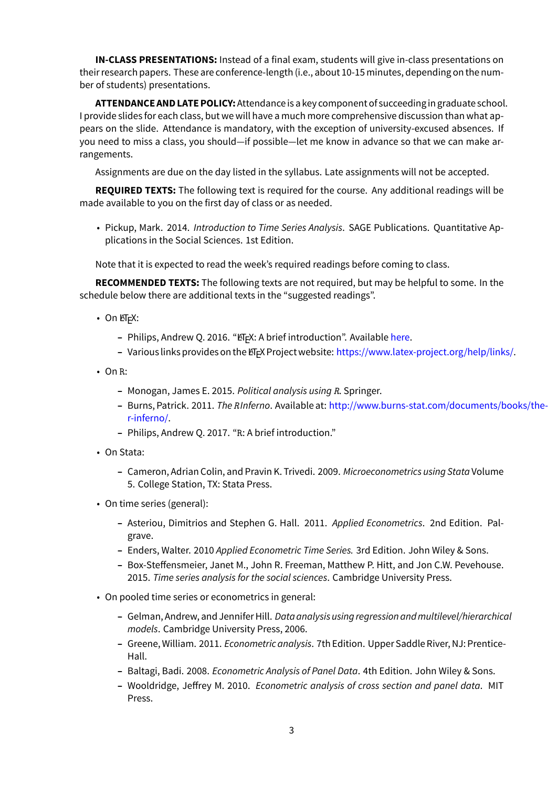**IN-CLASS PRESENTATIONS:** Instead of a final exam, students will give in-class presentations on their research papers. These are conference-length (i.e., about 10-15 minutes, depending on the number of students) presentations.

**ATTENDANCE AND LATE POLICY:**Attendance is a key component of succeeding in graduate school. I provide slides for each class, but we will have a much more comprehensive discussion than what appears on the slide. Attendance is mandatory, with the exception of university-excused absences. If you need to miss a class, you should—if possible—let me know in advance so that we can make arrangements.

Assignments are due on the day listed in the syllabus. Late assignments will not be accepted.

**REQUIRED TEXTS:** The following text is required for the course. Any additional readings will be made available to you on the first day of class or as needed.

• Pickup, Mark. 2014. *Introduction to Time Series Analysis*. SAGE Publications. Quantitative Applications in the Social Sciences. 1st Edition.

Note that it is expected to read the week's required readings before coming to class.

**RECOMMENDED TEXTS:** The following texts are not required, but may be helpful to some. In the schedule below there are additional texts in the "suggested readings".

- On  $\mathbb{F} F X$ :
	- **–** Philips, Andrew Q. 2016. "ETEX: A brief introduction". Available [here](http://www.andyphilips.com/downloads/introduction%20to%20latex%20Philips.pdf).
	- Various links provides on the ET<sub>F</sub>X Project website: [https://www.latex-project.org/help/links/.](https://www.latex-project.org/help/links/)
- On R:
	- **–** Monogan, James E. 2015. *Political analysis using R*. Springer.
	- **–** Burns, Patrick. 2011. *TheRInferno*. Available at: [http://www.burns-stat.com/documents/books/the](http://www.burns-stat.com/documents/books/the-r-inferno/)[r-inferno/.](http://www.burns-stat.com/documents/books/the-r-inferno/)
	- **–** Philips, Andrew Q. 2017. "R: A brief introduction."
- On Stata:
	- **–** Cameron, Adrian Colin, and Pravin K. Trivedi. 2009. *Microeconometrics using Stata* Volume 5. College Station, TX: Stata Press.
- On time series (general):
	- **–** Asteriou, Dimitrios and Stephen G. Hall. 2011. *Applied Econometrics*. 2nd Edition. Palgrave.
	- **–** Enders, Walter. 2010 *Applied Econometric Time Series.* 3rd Edition. John Wiley & Sons.
	- **–** Box-Steffensmeier, Janet M., John R. Freeman, Matthew P. Hitt, and Jon C.W. Pevehouse. 2015. *Time series analysis for the social sciences*. Cambridge University Press.
- On pooled time series or econometrics in general:
	- **–** Gelman, Andrew, and Jennifer Hill. *Data analysis using regression and multilevel/hierarchical models*. Cambridge University Press, 2006.
	- **–** Greene, William. 2011. *Econometric analysis*. 7th Edition. Upper Saddle River, NJ: Prentice-Hall.
	- **–** Baltagi, Badi. 2008. *Econometric Analysis of Panel Data*. 4th Edition. John Wiley & Sons.
	- **–** Wooldridge, Jeffrey M. 2010. *Econometric analysis of cross section and panel data*. MIT Press.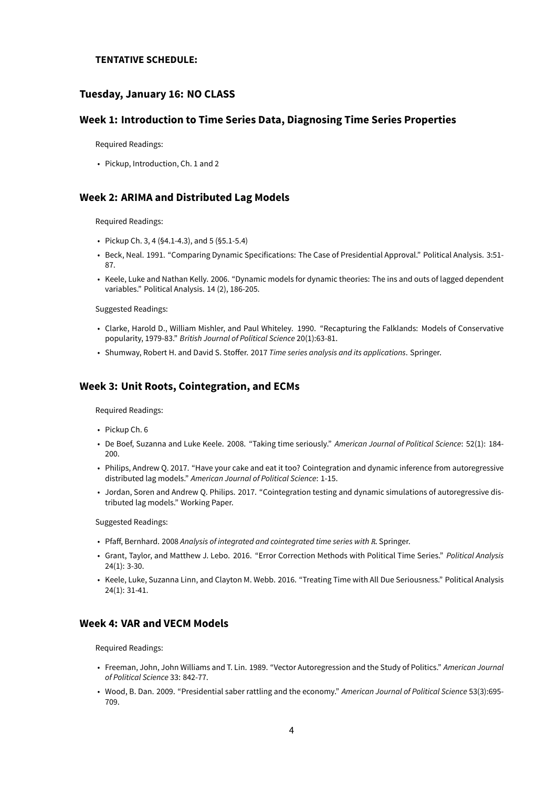#### **TENTATIVE SCHEDULE:**

## **Tuesday, January 16: NO CLASS**

#### **Week 1: Introduction to Time Series Data, Diagnosing Time Series Properties**

Required Readings:

• Pickup, Introduction, Ch. 1 and 2

#### **Week 2: ARIMA and Distributed Lag Models**

Required Readings:

- Pickup Ch. 3, 4 (§4.1-4.3), and 5 (§5.1-5.4)
- Beck, Neal. 1991. "Comparing Dynamic Specifications: The Case of Presidential Approval." Political Analysis. 3:51- 87.
- Keele, Luke and Nathan Kelly. 2006. "Dynamic models for dynamic theories: The ins and outs of lagged dependent variables." Political Analysis. 14 (2), 186-205.

Suggested Readings:

- Clarke, Harold D., William Mishler, and Paul Whiteley. 1990. "Recapturing the Falklands: Models of Conservative popularity, 1979-83." *British Journal of Political Science* 20(1):63-81.
- Shumway, Robert H. and David S. Stoffer. 2017 *Time series analysis and its applications*. Springer.

#### **Week 3: Unit Roots, Cointegration, and ECMs**

Required Readings:

- Pickup Ch. 6
- De Boef, Suzanna and Luke Keele. 2008. "Taking time seriously." *American Journal of Political Science*: 52(1): 184- 200.
- Philips, Andrew Q. 2017. "Have your cake and eat it too? Cointegration and dynamic inference from autoregressive distributed lag models." *American Journal of Political Science*: 1-15.
- Jordan, Soren and Andrew Q. Philips. 2017. "Cointegration testing and dynamic simulations of autoregressive distributed lag models." Working Paper.

Suggested Readings:

- Pfaff, Bernhard. 2008 *Analysis of integrated and cointegrated time series with R*. Springer.
- Grant, Taylor, and Matthew J. Lebo. 2016. "Error Correction Methods with Political Time Series." *Political Analysis* 24(1): 3-30.
- Keele, Luke, Suzanna Linn, and Clayton M. Webb. 2016. "Treating Time with All Due Seriousness." Political Analysis 24(1): 31-41.

## **Week 4: VAR and VECM Models**

Required Readings:

- Freeman, John, John Williams and T. Lin. 1989. "Vector Autoregression and the Study of Politics." *American Journal of Political Science* 33: 842-77.
- Wood, B. Dan. 2009. "Presidential saber rattling and the economy." *American Journal of Political Science* 53(3):695- 709.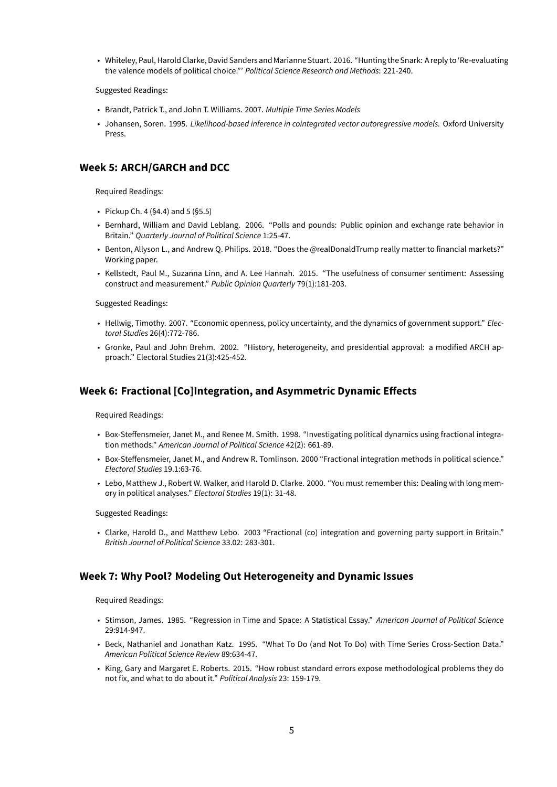• Whiteley, Paul, Harold Clarke, David Sanders and Marianne Stuart. 2016. "Hunting the Snark: A reply to 'Re-evaluating the valence models of political choice."' *Political Science Research and Methods*: 221-240.

Suggested Readings:

- Brandt, Patrick T., and John T. Williams. 2007. *Multiple Time Series Models*
- Johansen, Soren. 1995. *Likelihood-based inference in cointegrated vector autoregressive models.* Oxford University Press.

# **Week 5: ARCH/GARCH and DCC**

Required Readings:

- Pickup Ch. 4 (§4.4) and 5 (§5.5)
- Bernhard, William and David Leblang. 2006. "Polls and pounds: Public opinion and exchange rate behavior in Britain." *Quarterly Journal of Political Science* 1:25-47.
- Benton, Allyson L., and Andrew Q. Philips. 2018. "Does the @realDonaldTrump really matter to financial markets?" Working paper.
- Kellstedt, Paul M., Suzanna Linn, and A. Lee Hannah. 2015. "The usefulness of consumer sentiment: Assessing construct and measurement." *Public Opinion Quarterly* 79(1):181-203.

Suggested Readings:

- Hellwig, Timothy. 2007. "Economic openness, policy uncertainty, and the dynamics of government support." *Electoral Studies* 26(4):772-786.
- Gronke, Paul and John Brehm. 2002. "History, heterogeneity, and presidential approval: a modified ARCH approach." Electoral Studies 21(3):425-452.

# **Week 6: Fractional [Co]Integration, and Asymmetric Dynamic Effects**

Required Readings:

- Box-Steffensmeier, Janet M., and Renee M. Smith. 1998. "Investigating political dynamics using fractional integration methods." *American Journal of Political Science* 42(2): 661-89.
- Box-Steffensmeier, Janet M., and Andrew R. Tomlinson. 2000 "Fractional integration methods in political science." *Electoral Studies* 19.1:63-76.
- Lebo, Matthew J., Robert W. Walker, and Harold D. Clarke. 2000. "You must remember this: Dealing with long memory in political analyses." *Electoral Studies* 19(1): 31-48.

Suggested Readings:

• Clarke, Harold D., and Matthew Lebo. 2003 "Fractional (co) integration and governing party support in Britain." *British Journal of Political Science* 33.02: 283-301.

#### **Week 7: Why Pool? Modeling Out Heterogeneity and Dynamic Issues**

Required Readings:

- Stimson, James. 1985. "Regression in Time and Space: A Statistical Essay." *American Journal of Political Science* 29:914-947.
- Beck, Nathaniel and Jonathan Katz. 1995. "What To Do (and Not To Do) with Time Series Cross-Section Data." *American Political Science Review* 89:634-47.
- King, Gary and Margaret E. Roberts. 2015. "How robust standard errors expose methodological problems they do not fix, and what to do about it." *Political Analysis* 23: 159-179.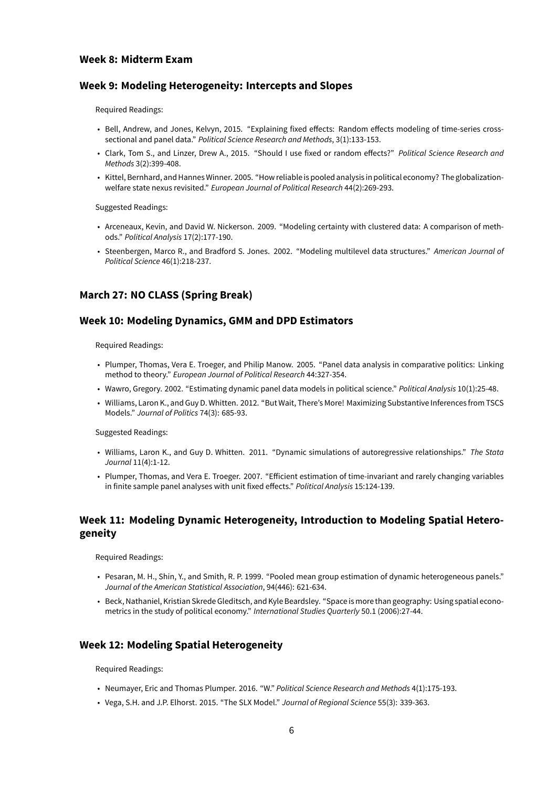# **Week 8: Midterm Exam**

## **Week 9: Modeling Heterogeneity: Intercepts and Slopes**

Required Readings:

- Bell, Andrew, and Jones, Kelvyn, 2015. "Explaining fixed effects: Random effects modeling of time-series crosssectional and panel data." *Political Science Research and Methods*, 3(1):133-153.
- Clark, Tom S., and Linzer, Drew A., 2015. "Should I use fixed or random effects?" *Political Science Research and Methods* 3(2):399-408.
- Kittel, Bernhard, and Hannes Winner. 2005. "How reliable is pooled analysis in political economy? The globalizationwelfare state nexus revisited." *European Journal of Political Research* 44(2):269-293.

Suggested Readings:

- Arceneaux, Kevin, and David W. Nickerson. 2009. "Modeling certainty with clustered data: A comparison of methods." *Political Analysis* 17(2):177-190.
- Steenbergen, Marco R., and Bradford S. Jones. 2002. "Modeling multilevel data structures." *American Journal of Political Science* 46(1):218-237.

# **March 27: NO CLASS (Spring Break)**

#### **Week 10: Modeling Dynamics, GMM and DPD Estimators**

Required Readings:

- Plumper, Thomas, Vera E. Troeger, and Philip Manow. 2005. "Panel data analysis in comparative politics: Linking method to theory." *European Journal of Political Research* 44:327-354.
- Wawro, Gregory. 2002. "Estimating dynamic panel data models in political science." *Political Analysis* 10(1):25-48.
- Williams, Laron K., and Guy D. Whitten. 2012. "But Wait, There's More! Maximizing Substantive Inferences from TSCS Models." *Journal of Politics* 74(3): 685-93.

Suggested Readings:

- Williams, Laron K., and Guy D. Whitten. 2011. "Dynamic simulations of autoregressive relationships." *The Stata Journal* 11(4):1-12.
- Plumper, Thomas, and Vera E. Troeger. 2007. "Efficient estimation of time-invariant and rarely changing variables in finite sample panel analyses with unit fixed effects." *Political Analysis* 15:124-139.

# **Week 11: Modeling Dynamic Heterogeneity, Introduction to Modeling Spatial Heterogeneity**

Required Readings:

- Pesaran, M. H., Shin, Y., and Smith, R. P. 1999. "Pooled mean group estimation of dynamic heterogeneous panels." *Journal of the American Statistical Association*, 94(446): 621-634.
- Beck, Nathaniel, Kristian Skrede Gleditsch, and Kyle Beardsley. "Space is more than geography: Using spatial econometrics in the study of political economy." *International Studies Quarterly* 50.1 (2006):27-44.

#### **Week 12: Modeling Spatial Heterogeneity**

Required Readings:

- Neumayer, Eric and Thomas Plumper. 2016. "W." *Political Science Research and Methods* 4(1):175-193.
- Vega, S.H. and J.P. Elhorst. 2015. "The SLX Model." *Journal of Regional Science* 55(3): 339-363.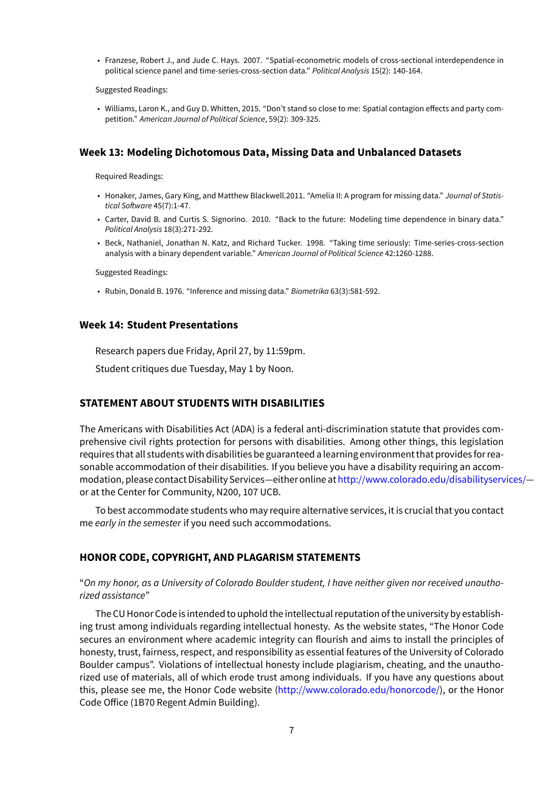• Franzese, Robert J., and Jude C. Hays. 2007. "Spatial-econometric models of cross-sectional interdependence in political science panel and time-series-cross-section data." *Political Analysis* 15(2): 140-164.

Suggested Readings:

• Williams, Laron K., and Guy D. Whitten, 2015. "Don't stand so close to me: Spatial contagion effects and party competition." *American Journal of Political Science*, 59(2): 309-325.

#### **Week 13: Modeling Dichotomous Data, Missing Data and Unbalanced Datasets**

Required Readings:

- Honaker, James, Gary King, and Matthew Blackwell.2011. "Amelia II: A program for missing data." *Journal of Statistical Software* 45(7):1-47.
- Carter, David B. and Curtis S. Signorino. 2010. "Back to the future: Modeling time dependence in binary data." *Political Analysis* 18(3):271-292.
- Beck, Nathaniel, Jonathan N. Katz, and Richard Tucker. 1998. "Taking time seriously: Time-series-cross-section analysis with a binary dependent variable." *American Journal of Political Science* 42:1260-1288.

Suggested Readings:

• Rubin, Donald B. 1976. "Inference and missing data." *Biometrika* 63(3):581-592.

#### **Week 14: Student Presentations**

Research papers due Friday, April 27, by 11:59pm.

Student critiques due Tuesday, May 1 by Noon.

#### **STATEMENT ABOUT STUDENTS WITH DISABILITIES**

The Americans with Disabilities Act (ADA) is a federal anti-discrimination statute that provides comprehensive civil rights protection for persons with disabilities. Among other things, this legislation requires that all students with disabilities be guaranteed a learning environment that providesfor reasonable accommodation of their disabilities. If you believe you have a disability requiring an accommodation, please contact Disability Services—either online at<http://www.colorado.edu/disabilityservices/> or at the Center for Community, N200, 107 UCB.

To best accommodate students who may require alternative services, it is crucial that you contact me *early in the semester* if you need such accommodations.

#### **HONOR CODE, COPYRIGHT, AND PLAGARISM STATEMENTS**

## "*On my honor, as a University of Colorado Boulder student, I have neither given nor received unauthorized assistance*"

The CU Honor Code is intended to uphold the intellectual reputation of the university by establishing trust among individuals regarding intellectual honesty. As the website states, "The Honor Code secures an environment where academic integrity can flourish and aims to install the principles of honesty, trust, fairness, respect, and responsibility as essential features of the University of Colorado Boulder campus". Violations of intellectual honesty include plagiarism, cheating, and the unauthorized use of materials, all of which erode trust among individuals. If you have any questions about this, please see me, the Honor Code website [\(http://www.colorado.edu/honorcode/](http://www.colorado.edu/honorcode/)), or the Honor Code Office (1B70 Regent Admin Building).